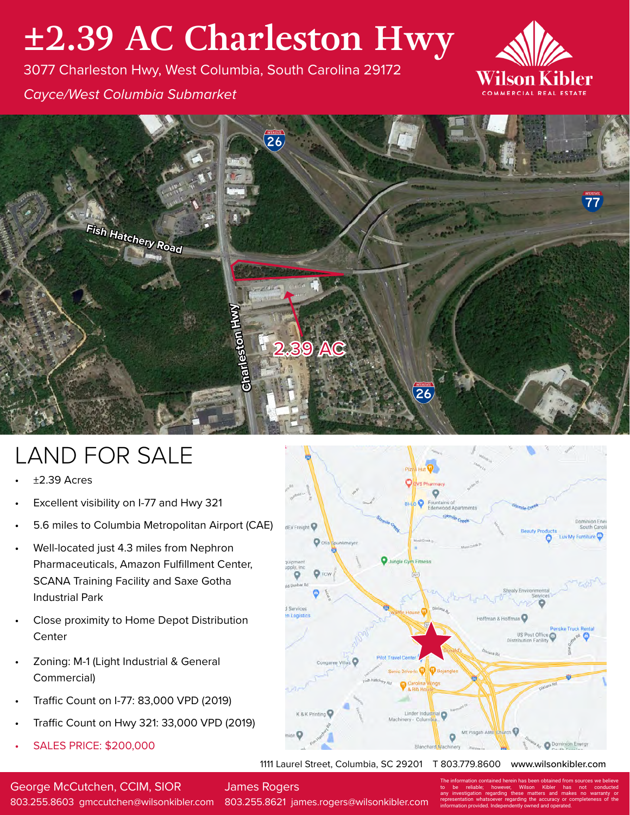## **±2.39 AC Charleston Hwy**

3077 Charleston Hwy, West Columbia, South Carolina 29172



*Cayce/West Columbia Submarket*



## LAND FOR SALE

- $±2.39$  Acres
- Excellent visibility on I-77 and Hwy 321
- 5.6 miles to Columbia Metropolitan Airport (CAE)
- Well-located just 4.3 miles from Nephron Pharmaceuticals, Amazon Fulfillment Center, SCANA Training Facility and Saxe Gotha Industrial Park
- Close proximity to Home Depot Distribution **Center**
- Zoning: M-1 (Light Industrial & General Commercial)
- Traffic Count on I-77: 83,000 VPD (2019)
- Traffic Count on Hwy 321: 33,000 VPD (2019)
- SALES PRICE: \$200,000

**dEx Freight** 

1111 Laurel Street, Columbia, SC 29201 T 803.779.8600 www.wilsonkibler.com

George McCutchen, CCIM, SIOR

James Rogers

803.255.8603 gmccutchen@wilsonkibler.com 803.255.8621 james.rogers@wilsonkibler.com

The information contained herein has been obtained from sources we believe to be reliable; however, Wilson Kibler has not conducted<br>any investigation regarding these matters and makes no warranty or<br>representation whatsoever regarding the accuracy or completeness of the<br>information provided.Indep